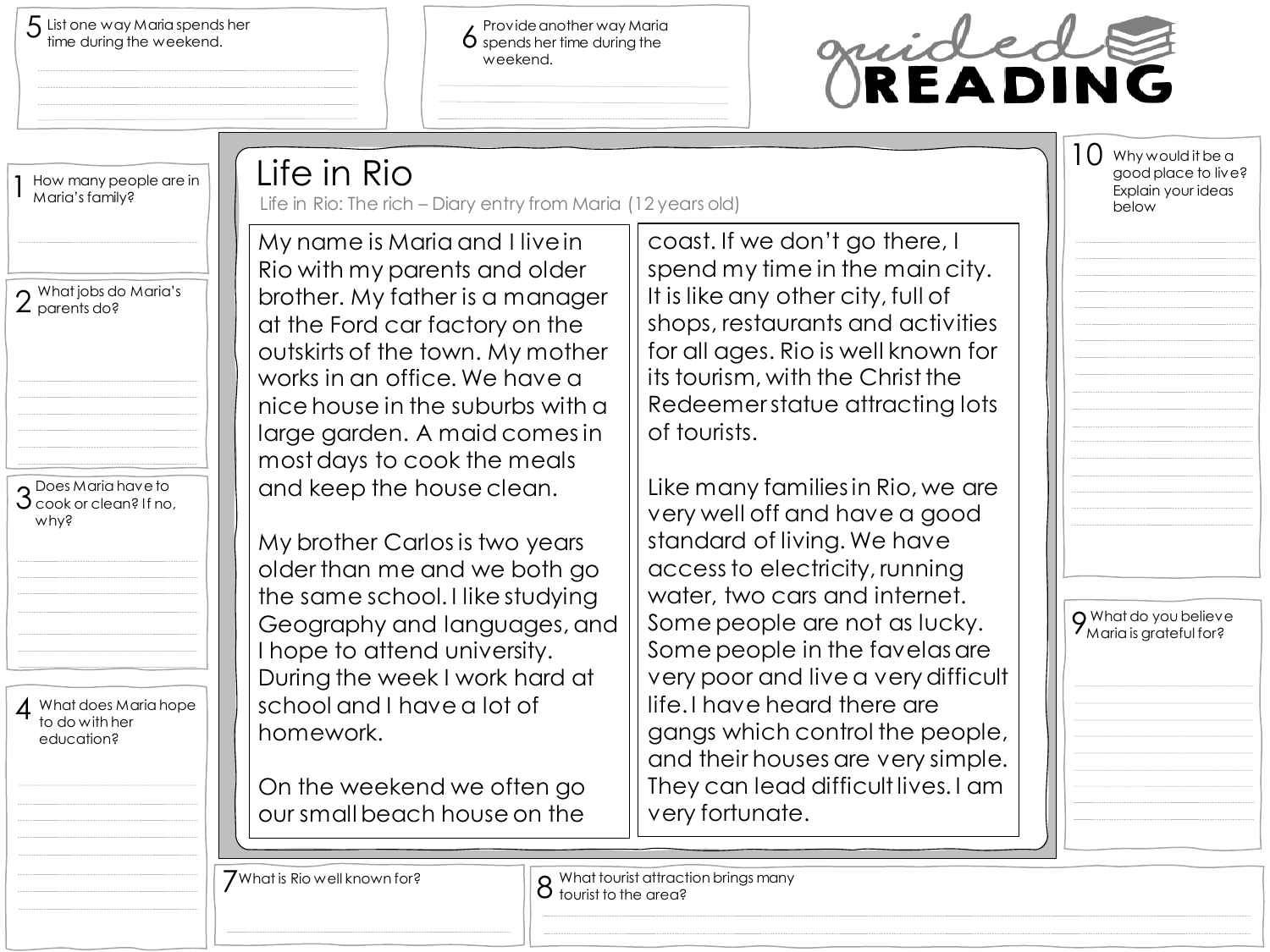$5$  List one way Maria spends her  $\frac{5}{2}$  fime during the weekend.

Provide another way Maria spends her time during the weekend.



| How many people are in<br>Maria's family?                                 | Life in Rio<br>Life in Rio: The rich - Diary entry from Maria (12 years old)                                                                                                                                                                                                   |                                                                                                                                                                                                                                                                                | $\bigcup$ Why would it be a<br>good place to live?<br>Explain your ideas<br>below |
|---------------------------------------------------------------------------|--------------------------------------------------------------------------------------------------------------------------------------------------------------------------------------------------------------------------------------------------------------------------------|--------------------------------------------------------------------------------------------------------------------------------------------------------------------------------------------------------------------------------------------------------------------------------|-----------------------------------------------------------------------------------|
| $\Omega$ What jobs do Maria's<br>$\angle$ parents do?                     | My name is Maria and I live in<br>Rio with my parents and older<br>brother. My father is a manager<br>at the Ford car factory on the<br>outskirts of the town. My mother<br>works in an office. We have a<br>nice house in the suburbs with a<br>large garden. A maid comes in | coast. If we don't go there, I<br>spend my time in the main city.<br>It is like any other city, full of<br>shops, restaurants and activities<br>for all ages. Rio is well known for<br>its tourism, with the Christ the<br>Redeemerstatue attracting lots<br>of tourists.      |                                                                                   |
| $\Omega$ Does Maria have to<br>$\mathcal S$ cook or clean? If no,<br>why? | most days to cook the meals<br>and keep the house clean.<br>My brother Carlos is two years<br>older than me and we both go<br>the same school. I like studying<br>Geography and languages, and<br>I hope to attend university.<br>During the week I work hard at               | Like many families in Rio, we are<br>very well off and have a good<br>standard of living. We have<br>access to electricity, running<br>water, two cars and internet.<br>Some people are not as lucky.<br>Some people in the favelas are<br>very poor and live a very difficult | O What do you believe<br>7 Maria is grateful for?                                 |
| 4 What does Maria hope<br>to do with her<br>education?                    | school and I have a lot of<br>homework.<br>On the weekend we often go<br>our small beach house on the                                                                                                                                                                          | life. I have heard there are<br>gangs which control the people,<br>and their houses are very simple.<br>They can lead difficult lives. I am<br>very fortunate.                                                                                                                 |                                                                                   |
|                                                                           | $\overline{J}$ What is Rio well known for?<br>$\bullet$ tourist to the area?                                                                                                                                                                                                   | <b>O</b> What tourist attraction brings many                                                                                                                                                                                                                                   |                                                                                   |